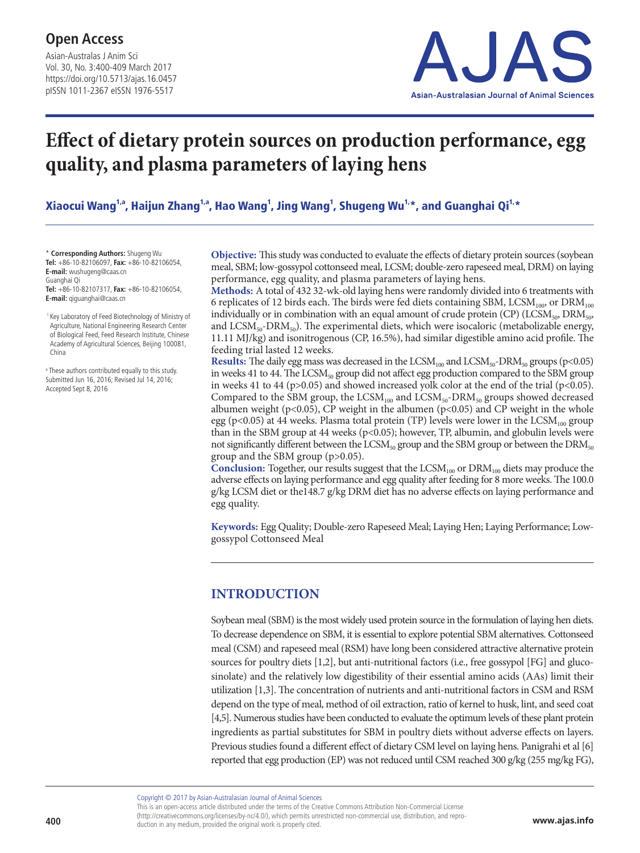Asian-Australas J Anim Sci Vol. 30, No. 3:400-409 March 2017 https://doi.org/10.5713/ajas.16.0457 pISSN 1011-2367 eISSN 1976-5517



# **Effect of dietary protein sources on production performance, egg quality, and plasma parameters of laying hens**

Xiaocui Wang<sup>1,a</sup>, Haijun Zhang<sup>1,a</sup>, Hao Wang<sup>1</sup>, Jing Wang<sup>1</sup>, Shugeng Wu<sup>1,</sup>\*, and Guanghai Qi<sup>1,</sup>\*

\* **Corresponding Authors:** Shugeng Wu **Tel:** +86-10-82106097, **Fax:** +86-10-82106054, **E-mail:** wushugeng@caas.cn Guanghai Qi **Tel:** +86-10-82107317, **Fax:** +86-10-82106054, **E-mail:** qiguanghai@caas.cn

 1 Key Laboratory of Feed Biotechnology of Ministry of Agriculture, National Engineering Research Center of Biological Feed, Feed Research Institute, Chinese Academy of Agricultural Sciences, Beijing 100081, China

a These authors contributed equally to this study. Submitted Jun 16, 2016; Revised Jul 14, 2016; Accepted Sept 8, 2016

**Objective:** This study was conducted to evaluate the effects of dietary protein sources (soybean meal, SBM; low-gossypol cottonseed meal, LCSM; double-zero rapeseed meal, DRM) on laying performance, egg quality, and plasma parameters of laying hens.

**Methods:** A total of 432 32-wk-old laying hens were randomly divided into 6 treatments with 6 replicates of 12 birds each. The birds were fed diets containing SBM, LCSM<sub>100</sub>, or DRM<sub>100</sub> individually or in combination with an equal amount of crude protein (CP) (LCSM<sub>50</sub>, DRM<sub>50</sub>, and  $LCSM_{50}$ -DRM<sub>50</sub>). The experimental diets, which were isocaloric (metabolizable energy, 11.11 MJ/kg) and isonitrogenous (CP, 16.5%), had similar digestible amino acid profile. The feeding trial lasted 12 weeks.

**Results:** The daily egg mass was decreased in the  $LCSM_{100}$  and  $LCSM_{50}$ -DRM<sub>50</sub> groups (p<0.05) in weeks 41 to 44. The LCSM<sub>50</sub> group did not affect egg production compared to the SBM group in weeks 41 to 44 ( $p > 0.05$ ) and showed increased yolk color at the end of the trial ( $p < 0.05$ ). Compared to the SBM group, the LCSM<sub>100</sub> and LCSM<sub>50</sub>-DRM<sub>50</sub> groups showed decreased albumen weight ( $p<0.05$ ), CP weight in the albumen ( $p<0.05$ ) and CP weight in the whole egg (p<0.05) at 44 weeks. Plasma total protein (TP) levels were lower in the LCSM<sub>100</sub> group than in the SBM group at 44 weeks (p<0.05); however, TP, albumin, and globulin levels were not significantly different between the  $\text{LCSM}_{50}$  group and the SBM group or between the  $\text{DRM}_{50}$ group and the SBM group (p>0.05).

Conclusion: Together, our results suggest that the LCSM<sub>100</sub> or DRM<sub>100</sub> diets may produce the adverse effects on laying performance and egg quality after feeding for 8 more weeks. The 100.0 g/kg LCSM diet or the148.7 g/kg DRM diet has no adverse effects on laying performance and egg quality.

**Keywords:** Egg Quality; Double-zero Rapeseed Meal; Laying Hen; Laying Performance; Lowgossypol Cottonseed Meal

# **INTRODUCTION**

Soybean meal (SBM) is the most widely used protein source in the formulation of laying hen diets. To decrease dependence on SBM, it is essential to explore potential SBM alternatives. Cottonseed meal (CSM) and rapeseed meal (RSM) have long been considered attractive alternative protein sources for poultry diets [1,2], but anti-nutritional factors (i.e., free gossypol [FG] and glucosinolate) and the relatively low digestibility of their essential amino acids (AAs) limit their utilization [1,3]. The concentration of nutrients and anti-nutritional factors in CSM and RSM depend on the type of meal, method of oil extraction, ratio of kernel to husk, lint, and seed coat [4,5]. Numerous studies have been conducted to evaluate the optimum levels of these plant protein ingredients as partial substitutes for SBM in poultry diets without adverse effects on layers. Previous studies found a different effect of dietary CSM level on laying hens. Panigrahi et al [6] reported that egg production (EP) was not reduced until CSM reached 300 g/kg (255 mg/kg FG),

Copyright © 2017 by Asian-Australasian Journal of Animal Sciences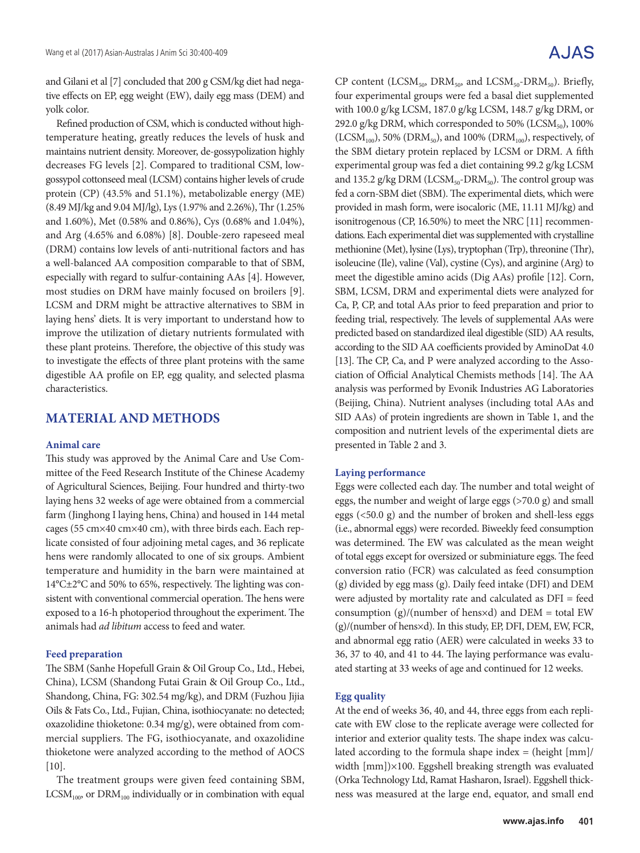and Gilani et al [7] concluded that 200 g CSM/kg diet had negative effects on EP, egg weight (EW), daily egg mass (DEM) and yolk color.

Refined production of CSM, which is conducted without hightemperature heating, greatly reduces the levels of husk and maintains nutrient density. Moreover, de-gossypolization highly decreases FG levels [2]. Compared to traditional CSM, lowgossypol cottonseed meal (LCSM) contains higher levels of crude protein (CP) (43.5% and 51.1%), metabolizable energy (ME) (8.49 MJ/kg and 9.04 MJ/lg), Lys (1.97% and 2.26%), Thr (1.25% and 1.60%), Met (0.58% and 0.86%), Cys (0.68% and 1.04%), and Arg (4.65% and 6.08%) [8]. Double-zero rapeseed meal (DRM) contains low levels of anti-nutritional factors and has a well-balanced AA composition comparable to that of SBM, especially with regard to sulfur-containing AAs [4]. However, most studies on DRM have mainly focused on broilers [9]. LCSM and DRM might be attractive alternatives to SBM in laying hens' diets. It is very important to understand how to improve the utilization of dietary nutrients formulated with these plant proteins. Therefore, the objective of this study was to investigate the effects of three plant proteins with the same digestible AA profile on EP, egg quality, and selected plasma characteristics.

## **MATERIAL AND METHODS**

#### **Animal care**

This study was approved by the Animal Care and Use Committee of the Feed Research Institute of the Chinese Academy of Agricultural Sciences, Beijing. Four hundred and thirty-two laying hens 32 weeks of age were obtained from a commercial farm (Jinghong I laying hens, China) and housed in 144 metal cages (55 cm×40 cm×40 cm), with three birds each. Each replicate consisted of four adjoining metal cages, and 36 replicate hens were randomly allocated to one of six groups. Ambient temperature and humidity in the barn were maintained at 14°C±2°C and 50% to 65%, respectively. The lighting was consistent with conventional commercial operation. The hens were exposed to a 16-h photoperiod throughout the experiment. The animals had *ad libitum* access to feed and water.

#### **Feed preparation**

The SBM (Sanhe Hopefull Grain & Oil Group Co., Ltd., Hebei, China), LCSM (Shandong Futai Grain & Oil Group Co., Ltd., Shandong, China, FG: 302.54 mg/kg), and DRM (Fuzhou Jijia Oils & Fats Co., Ltd., Fujian, China, isothiocyanate: no detected; oxazolidine thioketone: 0.34 mg/g), were obtained from commercial suppliers. The FG, isothiocyanate, and oxazolidine thioketone were analyzed according to the method of AOCS  $[10]$ .

The treatment groups were given feed containing SBM,  $LCSM<sub>100</sub>$ , or  $DRM<sub>100</sub>$  individually or in combination with equal

# A.JAS

CP content (LCSM<sub>50</sub>, DRM<sub>50</sub>, and LCSM<sub>50</sub>-DRM<sub>50</sub>). Briefly, four experimental groups were fed a basal diet supplemented with 100.0 g/kg LCSM, 187.0 g/kg LCSM, 148.7 g/kg DRM, or 292.0 g/kg DRM, which corresponded to 50% (LCSM $_{50}$ ), 100%  $(LCSM_{100})$ , 50% (DRM<sub>50</sub>), and 100% (DRM<sub>100</sub>), respectively, of the SBM dietary protein replaced by LCSM or DRM. A fifth experimental group was fed a diet containing 99.2 g/kg LCSM and 135.2 g/kg DRM (LCS $M_{50}$ -DR $M_{50}$ ). The control group was fed a corn-SBM diet (SBM). The experimental diets, which were provided in mash form, were isocaloric (ME, 11.11 MJ/kg) and isonitrogenous (CP, 16.50%) to meet the NRC [11] recommendations. Each experimental diet was supplemented with crystalline methionine (Met), lysine (Lys), tryptophan (Trp), threonine (Thr), isoleucine (Ile), valine (Val), cystine (Cys), and arginine (Arg) to meet the digestible amino acids (Dig AAs) profile [12]. Corn, SBM, LCSM, DRM and experimental diets were analyzed for Ca, P, CP, and total AAs prior to feed preparation and prior to feeding trial, respectively. The levels of supplemental AAs were predicted based on standardized ileal digestible (SID) AA results, according to the SID AA coefficients provided by AminoDat 4.0 [13]. The CP, Ca, and P were analyzed according to the Association of Official Analytical Chemists methods [14]. The AA analysis was performed by Evonik Industries AG Laboratories (Beijing, China). Nutrient analyses (including total AAs and SID AAs) of protein ingredients are shown in Table 1, and the composition and nutrient levels of the experimental diets are presented in Table 2 and 3.

#### **Laying performance**

Eggs were collected each day. The number and total weight of eggs, the number and weight of large eggs (>70.0 g) and small eggs (<50.0 g) and the number of broken and shell-less eggs (i.e., abnormal eggs) were recorded. Biweekly feed consumption was determined. The EW was calculated as the mean weight of total eggs except for oversized or subminiature eggs. The feed conversion ratio (FCR) was calculated as feed consumption (g) divided by egg mass (g). Daily feed intake (DFI) and DEM were adjusted by mortality rate and calculated as DFI = feed consumption  $(g)/(number of hensxd)$  and  $DEM = total EW$ (g)/(number of hens×d). In this study, EP, DFI, DEM, EW, FCR, and abnormal egg ratio (AER) were calculated in weeks 33 to 36, 37 to 40, and 41 to 44. The laying performance was evaluated starting at 33 weeks of age and continued for 12 weeks.

#### **Egg quality**

At the end of weeks 36, 40, and 44, three eggs from each replicate with EW close to the replicate average were collected for interior and exterior quality tests. The shape index was calculated according to the formula shape index = (height [mm]/ width [mm])×100. Eggshell breaking strength was evaluated (Orka Technology Ltd, Ramat Hasharon, Israel). Eggshell thickness was measured at the large end, equator, and small end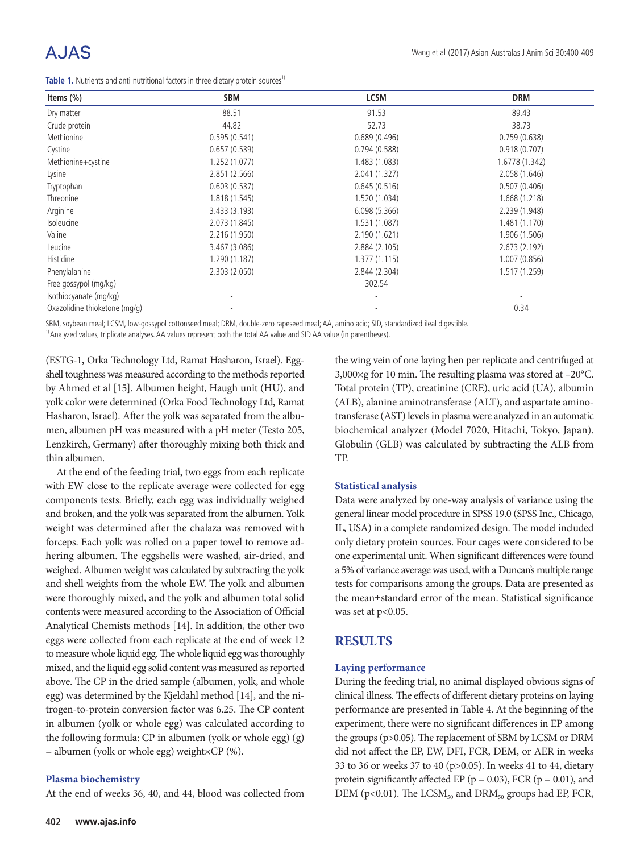# A.JAS

**Table 1.** Nutrients and anti-nutritional factors in three dietary protein sources<sup>1)</sup>

| Items $(\%)$                  | <b>SBM</b>    | <b>LCSM</b>   | <b>DRM</b>     |
|-------------------------------|---------------|---------------|----------------|
| Dry matter                    | 88.51         | 91.53         | 89.43          |
| Crude protein                 | 44.82         | 52.73         | 38.73          |
| Methionine                    | 0.595(0.541)  | 0.689(0.496)  | 0.759(0.638)   |
| Cystine                       | 0.657(0.539)  | 0.794(0.588)  | 0.918(0.707)   |
| Methionine+cystine            | 1.252 (1.077) | 1.483 (1.083) | 1.6778 (1.342) |
| Lysine                        | 2.851 (2.566) | 2.041 (1.327) | 2.058 (1.646)  |
| Tryptophan                    | 0.603(0.537)  | 0.645(0.516)  | 0.507(0.406)   |
| Threonine                     | 1.818 (1.545) | 1.520 (1.034) | 1.668 (1.218)  |
| Arginine                      | 3.433 (3.193) | 6.098(5.366)  | 2.239 (1.948)  |
| Isoleucine                    | 2.073 (1.845) | 1.531 (1.087) | 1.481 (1.170)  |
| Valine                        | 2.216 (1.950) | 2.190 (1.621) | 1.906 (1.506)  |
| Leucine                       | 3.467 (3.086) | 2.884 (2.105) | 2.673(2.192)   |
| Histidine                     | 1.290 (1.187) | 1.377(1.115)  | 1.007(0.856)   |
| Phenylalanine                 | 2.303(2.050)  | 2.844 (2.304) | 1.517 (1.259)  |
| Free gossypol (mg/kg)         |               | 302.54        |                |
| Isothiocyanate (mg/kg)        |               |               |                |
| Oxazolidine thioketone (mg/g) |               |               | 0.34           |

SBM, soybean meal; LCSM, low-gossypol cottonseed meal; DRM, double-zero rapeseed meal; AA, amino acid; SID, standardized ileal digestible.

<sup>1)</sup> Analyzed values, triplicate analyses. AA values represent both the total AA value and SID AA value (in parentheses).

(ESTG-1, Orka Technology Ltd, Ramat Hasharon, Israel). Eggshell toughness was measured according to the methods reported by Ahmed et al [15]. Albumen height, Haugh unit (HU), and yolk color were determined (Orka Food Technology Ltd, Ramat Hasharon, Israel). After the yolk was separated from the albumen, albumen pH was measured with a pH meter (Testo 205, Lenzkirch, Germany) after thoroughly mixing both thick and thin albumen.

At the end of the feeding trial, two eggs from each replicate with EW close to the replicate average were collected for egg components tests. Briefly, each egg was individually weighed and broken, and the yolk was separated from the albumen. Yolk weight was determined after the chalaza was removed with forceps. Each yolk was rolled on a paper towel to remove adhering albumen. The eggshells were washed, air-dried, and weighed. Albumen weight was calculated by subtracting the yolk and shell weights from the whole EW. The yolk and albumen were thoroughly mixed, and the yolk and albumen total solid contents were measured according to the Association of Official Analytical Chemists methods [14]. In addition, the other two eggs were collected from each replicate at the end of week 12 to measure whole liquid egg. The whole liquid egg was thoroughly mixed, and the liquid egg solid content was measured as reported above. The CP in the dried sample (albumen, yolk, and whole egg) was determined by the Kjeldahl method [14], and the nitrogen-to-protein conversion factor was 6.25. The CP content in albumen (yolk or whole egg) was calculated according to the following formula: CP in albumen (yolk or whole egg) (g)  $=$  albumen (yolk or whole egg) weight×CP (%).

#### **Plasma biochemistry**

At the end of weeks 36, 40, and 44, blood was collected from

the wing vein of one laying hen per replicate and centrifuged at 3,000×g for 10 min. The resulting plasma was stored at –20°C. Total protein (TP), creatinine (CRE), uric acid (UA), albumin (ALB), alanine aminotransferase (ALT), and aspartate aminotransferase (AST) levels in plasma were analyzed in an automatic biochemical analyzer (Model 7020, Hitachi, Tokyo, Japan). Globulin (GLB) was calculated by subtracting the ALB from TP.

#### **Statistical analysis**

Data were analyzed by one-way analysis of variance using the general linear model procedure in SPSS 19.0 (SPSS Inc., Chicago, IL, USA) in a complete randomized design. The model included only dietary protein sources. Four cages were considered to be one experimental unit. When significant differences were found a 5% of variance average was used, with a Duncan's multiple range tests for comparisons among the groups. Data are presented as the mean±standard error of the mean. Statistical significance was set at p<0.05.

## **RESULTS**

#### **Laying performance**

During the feeding trial, no animal displayed obvious signs of clinical illness. The effects of different dietary proteins on laying performance are presented in Table 4. At the beginning of the experiment, there were no significant differences in EP among the groups (p>0.05). The replacement of SBM by LCSM or DRM did not affect the EP, EW, DFI, FCR, DEM, or AER in weeks 33 to 36 or weeks 37 to 40 (p>0.05). In weeks 41 to 44, dietary protein significantly affected EP ( $p = 0.03$ ), FCR ( $p = 0.01$ ), and DEM (p<0.01). The LCSM<sub>50</sub> and DRM<sub>50</sub> groups had EP, FCR,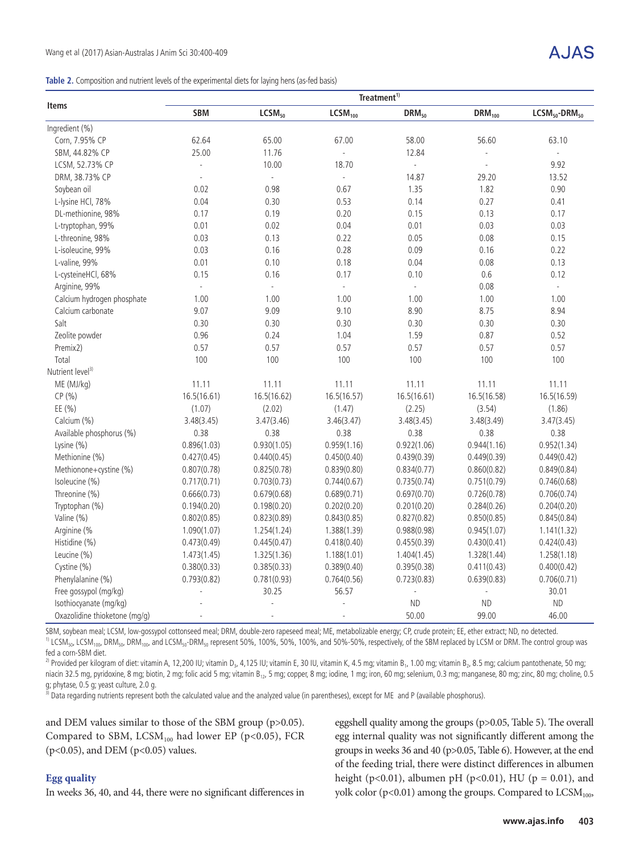|  |  | Table 2. Composition and nutrient levels of the experimental diets for laying hens (as-fed basis) |  |  |
|--|--|---------------------------------------------------------------------------------------------------|--|--|
|  |  |                                                                                                   |  |  |

| <b>Items</b>                  | Treatment <sup>1)</sup> |                    |                          |               |             |                          |  |  |  |
|-------------------------------|-------------------------|--------------------|--------------------------|---------------|-------------|--------------------------|--|--|--|
|                               | <b>SBM</b>              | LCSM <sub>50</sub> | LCSM <sub>100</sub>      | $DRM_{50}$    | $DRM_{100}$ | $LCSM50$ -DRM $50$       |  |  |  |
| Ingredient (%)                |                         |                    |                          |               |             |                          |  |  |  |
| Corn, 7.95% CP                | 62.64                   | 65.00              | 67.00                    | 58.00         | 56.60       | 63.10                    |  |  |  |
| SBM, 44.82% CP                | 25.00                   | 11.76              | L,                       | 12.84         |             | $\overline{a}$           |  |  |  |
| LCSM, 52.73% CP               | $\overline{a}$          | 10.00              | 18.70                    | $\frac{1}{2}$ |             | 9.92                     |  |  |  |
| DRM, 38.73% CP                | $\Box$                  | $\mathbb{Z}$       | $\overline{\phantom{a}}$ | 14.87         | 29.20       | 13.52                    |  |  |  |
| Soybean oil                   | 0.02                    | 0.98               | 0.67                     | 1.35          | 1.82        | 0.90                     |  |  |  |
| L-lysine HCl, 78%             | 0.04                    | 0.30               | 0.53                     | 0.14          | 0.27        | 0.41                     |  |  |  |
| DL-methionine, 98%            | 0.17                    | 0.19               | 0.20                     | 0.15          | 0.13        | 0.17                     |  |  |  |
| L-tryptophan, 99%             | 0.01                    | 0.02               | 0.04                     | 0.01          | 0.03        | 0.03                     |  |  |  |
| L-threonine, 98%              | 0.03                    | 0.13               | 0.22                     | 0.05          | 0.08        | 0.15                     |  |  |  |
| L-isoleucine, 99%             | 0.03                    | 0.16               | 0.28                     | 0.09          | 0.16        | 0.22                     |  |  |  |
| L-valine, 99%                 | 0.01                    | 0.10               | 0.18                     | 0.04          | 0.08        | 0.13                     |  |  |  |
| L-cysteineHCl, 68%            | 0.15                    | 0.16               | 0.17                     | 0.10          | 0.6         | 0.12                     |  |  |  |
| Arginine, 99%                 | L.                      | L,                 | $\omega$                 | ä,            | 0.08        | $\overline{\phantom{a}}$ |  |  |  |
| Calcium hydrogen phosphate    | 1.00                    | 1.00               | 1.00                     | 1.00          | 1.00        | 1.00                     |  |  |  |
| Calcium carbonate             | 9.07                    | 9.09               | 9.10                     | 8.90          | 8.75        | 8.94                     |  |  |  |
| Salt                          | 0.30                    | 0.30               | 0.30                     | 0.30          | 0.30        | 0.30                     |  |  |  |
| Zeolite powder                | 0.96                    | 0.24               | 1.04                     | 1.59          | 0.87        | 0.52                     |  |  |  |
| Premix2)                      | 0.57                    | 0.57               | 0.57                     | 0.57          | 0.57        | 0.57                     |  |  |  |
| Total                         | 100                     | 100                | 100                      | 100           | 100         | 100                      |  |  |  |
| Nutrient level <sup>3)</sup>  |                         |                    |                          |               |             |                          |  |  |  |
| ME (MJ/kg)                    | 11.11                   | 11.11              | 11.11                    | 11.11         | 11.11       | 11.11                    |  |  |  |
| CP(%)                         | 16.5(16.61)             | 16.5(16.62)        | 16.5(16.57)              | 16.5(16.61)   | 16.5(16.58) | 16.5(16.59)              |  |  |  |
| EE (%)                        | (1.07)                  | (2.02)             | (1.47)                   | (2.25)        | (3.54)      | (1.86)                   |  |  |  |
| Calcium (%)                   | 3.48(3.45)              | 3.47(3.46)         | 3.46(3.47)               | 3.48(3.45)    | 3.48(3.49)  | 3.47(3.45)               |  |  |  |
| Available phosphorus (%)      | 0.38                    | 0.38               | 0.38                     | 0.38          | 0.38        | 0.38                     |  |  |  |
| Lysine (%)                    | 0.896(1.03)             | 0.930(1.05)        | 0.959(1.16)              | 0.922(1.06)   | 0.944(1.16) | 0.952(1.34)              |  |  |  |
| Methionine (%)                | 0.427(0.45)             | 0.440(0.45)        | 0.450(0.40)              | 0.439(0.39)   | 0.449(0.39) | 0.449(0.42)              |  |  |  |
| Methionone+cystine (%)        | 0.807(0.78)             | 0.825(0.78)        | 0.839(0.80)              | 0.834(0.77)   | 0.860(0.82) | 0.849(0.84)              |  |  |  |
| Isoleucine (%)                | 0.717(0.71)             | 0.703(0.73)        | 0.744(0.67)              | 0.735(0.74)   | 0.751(0.79) | 0.746(0.68)              |  |  |  |
| Threonine (%)                 | 0.666(0.73)             | 0.679(0.68)        | 0.689(0.71)              | 0.697(0.70)   | 0.726(0.78) | 0.706(0.74)              |  |  |  |
| Tryptophan (%)                | 0.194(0.20)             | 0.198(0.20)        | 0.202(0.20)              | 0.201(0.20)   | 0.284(0.26) | 0.204(0.20)              |  |  |  |
| Valine (%)                    | 0.802(0.85)             | 0.823(0.89)        | 0.843(0.85)              | 0.827(0.82)   | 0.850(0.85) | 0.845(0.84)              |  |  |  |
| Arginine (%                   | 1.090(1.07)             | 1.254(1.24)        | 1.388(1.39)              | 0.988(0.98)   | 0.945(1.07) | 1.141(1.32)              |  |  |  |
| Histidine (%)                 | 0.473(0.49)             | 0.445(0.47)        | 0.418(0.40)              | 0.455(0.39)   | 0.430(0.41) | 0.424(0.43)              |  |  |  |
| Leucine (%)                   | 1.473(1.45)             | 1.325(1.36)        | 1.188(1.01)              | 1.404(1.45)   | 1.328(1.44) | 1.258(1.18)              |  |  |  |
| Cystine (%)                   | 0.380(0.33)             | 0.385(0.33)        | 0.389(0.40)              | 0.395(0.38)   | 0.411(0.43) | 0.400(0.42)              |  |  |  |
| Phenylalanine (%)             | 0.793(0.82)             | 0.781(0.93)        | 0.764(0.56)              | 0.723(0.83)   | 0.639(0.83) | 0.706(0.71)              |  |  |  |
| Free gossypol (mg/kg)         | ä,                      | 30.25              | 56.57                    | ÷,            | $\Box$      | 30.01                    |  |  |  |
| Isothiocyanate (mg/kg)        |                         |                    |                          | <b>ND</b>     | <b>ND</b>   | <b>ND</b>                |  |  |  |
| Oxazolidine thioketone (mg/g) |                         |                    | $\sim$                   | 50.00         | 99.00       | 46.00                    |  |  |  |

SBM, soybean meal; LCSM, low-gossypol cottonseed meal; DRM, double-zero rapeseed meal; ME, metabolizable energy; CP, crude protein; EE, ether extract; ND, no detected. <sup>1)</sup> LCSM<sub>50</sub>, LCSM<sub>100</sub>, DRM<sub>50</sub>, DRM<sub>100</sub>, and LCSM<sub>50</sub>-DRM<sub>50</sub> represent 50%, 100%, 50%, 100%, and 50%-50%, respectively, of the SBM replaced by LCSM or DRM. The control group was fed a corn-SBM diet.

<sup>2)</sup> Provided per kilogram of diet: vitamin A, 12,200 IU; vitamin D<sub>3</sub>, 4,125 IU; vitamin E, 30 IU, vitamin K, 4.5 mg; vitamin B<sub>1</sub>, 1.00 mg; vitamin B<sub>2</sub>, 8.5 mg; calcium pantothenate, 50 mg; niacin 32.5 mg, pyridoxine, 8 mg; biotin, 2 mg; folic acid 5 mg; vitamin B<sub>12</sub>, 5 mg; copper, 8 mg; iodine, 1 mg; iron, 60 mg; selenium, 0.3 mg; manganese, 80 mg; zinc, 80 mg; choline, 0.5 g; phytase, 0.5 g; yeast culture, 2.0 g.

<sup>3)</sup> Data regarding nutrients represent both the calculated value and the analyzed value (in parentheses), except for ME and P (available phosphorus).

and DEM values similar to those of the SBM group (p>0.05). Compared to SBM,  $LCSM_{100}$  had lower EP (p<0.05), FCR ( $p$ <0.05), and DEM ( $p$ <0.05) values.

**Egg quality**

In weeks 36, 40, and 44, there were no significant differences in

eggshell quality among the groups (p>0.05, Table 5). The overall egg internal quality was not significantly different among the groups in weeks 36 and 40 (p>0.05, Table 6). However, at the end of the feeding trial, there were distinct differences in albumen height (p<0.01), albumen pH (p<0.01), HU (p = 0.01), and yolk color (p<0.01) among the groups. Compared to LCSM<sub>100</sub>,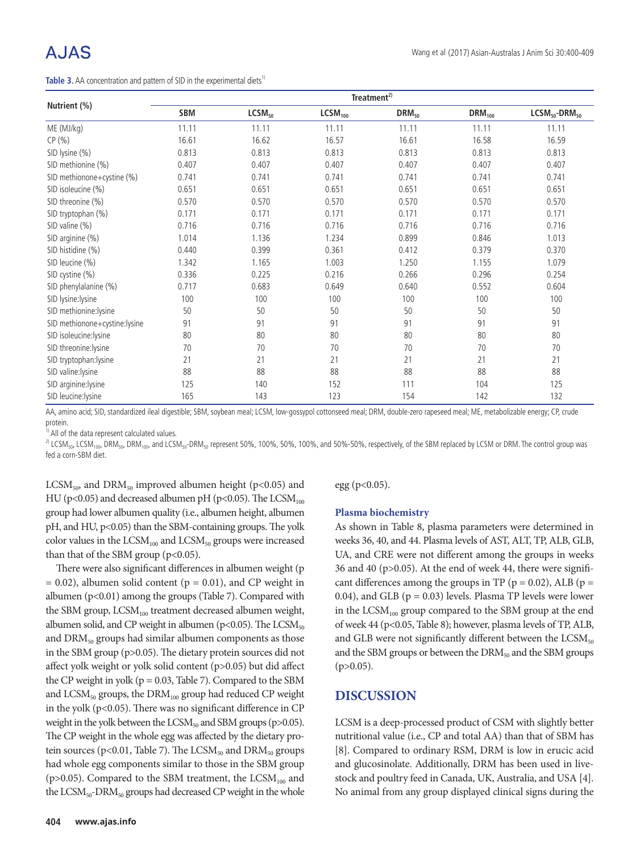# A.JAS

**Table 3.** AA concentration and pattern of SID in the experimental diets<sup>1)</sup>

|                               | Treatment <sup>2)</sup> |                    |                     |            |             |                    |  |  |  |  |
|-------------------------------|-------------------------|--------------------|---------------------|------------|-------------|--------------------|--|--|--|--|
| Nutrient (%)                  | <b>SBM</b>              | LCSM <sub>50</sub> | LCSM <sub>100</sub> | $DRM_{50}$ | $DRM_{100}$ | $LCSM50$ -DRM $50$ |  |  |  |  |
| ME (MJ/kg)                    | 11.11                   | 11.11              | 11.11               | 11.11      | 11.11       | 11.11              |  |  |  |  |
| CP(% )                        | 16.61                   | 16.62              | 16.57               | 16.61      | 16.58       | 16.59              |  |  |  |  |
| SID lysine (%)                | 0.813                   | 0.813              | 0.813               | 0.813      | 0.813       | 0.813              |  |  |  |  |
| SID methionine (%)            | 0.407                   | 0.407              | 0.407               | 0.407      | 0.407       | 0.407              |  |  |  |  |
| SID methionone+cystine (%)    | 0.741                   | 0.741              | 0.741               | 0.741      | 0.741       | 0.741              |  |  |  |  |
| SID isoleucine (%)            | 0.651                   | 0.651              | 0.651               | 0.651      | 0.651       | 0.651              |  |  |  |  |
| SID threonine (%)             | 0.570                   | 0.570              | 0.570               | 0.570      | 0.570       | 0.570              |  |  |  |  |
| SID tryptophan (%)            | 0.171                   | 0.171              | 0.171               | 0.171      | 0.171       | 0.171              |  |  |  |  |
| $SID$ valine $(\%)$           | 0.716                   | 0.716              | 0.716               | 0.716      | 0.716       | 0.716              |  |  |  |  |
| SID arginine (%)              | 1.014                   | 1.136              | 1.234               | 0.899      | 0.846       | 1.013              |  |  |  |  |
| SID histidine (%)             | 0.440                   | 0.399              | 0.361               | 0.412      | 0.379       | 0.370              |  |  |  |  |
| SID leucine (%)               | 1.342                   | 1.165              | 1.003               | 1.250      | 1.155       | 1.079              |  |  |  |  |
| SID cystine (%)               | 0.336                   | 0.225              | 0.216               | 0.266      | 0.296       | 0.254              |  |  |  |  |
| SID phenylalanine (%)         | 0.717                   | 0.683              | 0.649               | 0.640      | 0.552       | 0.604              |  |  |  |  |
| SID lysine: lysine            | 100                     | 100                | 100                 | 100        | 100         | 100                |  |  |  |  |
| SID methionine: lysine        | 50                      | 50                 | 50                  | 50         | 50          | 50                 |  |  |  |  |
| SID methionone+cystine:lysine | 91                      | 91                 | 91                  | 91         | 91          | 91                 |  |  |  |  |
| SID isoleucine:lysine         | 80                      | 80                 | 80                  | 80         | 80          | 80                 |  |  |  |  |
| SID threonine: lysine         | 70                      | 70                 | 70                  | 70         | 70          | 70                 |  |  |  |  |
| SID tryptophan:lysine         | 21                      | 21                 | 21                  | 21         | 21          | 21                 |  |  |  |  |
| SID valine: lysine            | 88                      | 88                 | 88                  | 88         | 88          | 88                 |  |  |  |  |
| SID arginine: lysine          | 125                     | 140                | 152                 | 111        | 104         | 125                |  |  |  |  |
| SID leucine: lysine           | 165                     | 143                | 123                 | 154        | 142         | 132                |  |  |  |  |

AA, amino acid; SID, standardized ileal digestible; SBM, soybean meal; LCSM, low-gossypol cottonseed meal; DRM, double-zero rapeseed meal; ME, metabolizable energy; CP, crude protein.

<sup>1)</sup> All of the data represent calculated values.

 $^{2)}$  LCSM<sub>50</sub>, LCSM<sub>100</sub>, DRM<sub>50</sub>, DRM<sub>100</sub>, and LCSM<sub>50</sub>-DRM<sub>50</sub> represent 50%, 100%, 50%, 100%, and 50%-50%, respectively, of the SBM replaced by LCSM or DRM. The control group was fed a corn-SBM diet.

LCSM<sub>50</sub>, and DRM<sub>50</sub> improved albumen height (p<0.05) and HU ( $p<0.05$ ) and decreased albumen pH ( $p<0.05$ ). The LCSM<sub>100</sub> group had lower albumen quality (i.e., albumen height, albumen pH, and HU, p<0.05) than the SBM-containing groups. The yolk color values in the  $LCSM_{100}$  and  $LCSM_{50}$  groups were increased than that of the SBM group ( $p<0.05$ ).

There were also significant differences in albumen weight (p  $= 0.02$ ), albumen solid content ( $p = 0.01$ ), and CP weight in albumen ( $p<0.01$ ) among the groups (Table 7). Compared with the SBM group,  $LCSM_{100}$  treatment decreased albumen weight, albumen solid, and CP weight in albumen ( $p<0.05$ ). The LCSM<sub>50</sub> and  $DRM<sub>50</sub>$  groups had similar albumen components as those in the SBM group (p>0.05). The dietary protein sources did not affect yolk weight or yolk solid content (p>0.05) but did affect the CP weight in yolk ( $p = 0.03$ , Table 7). Compared to the SBM and  $LCSM<sub>50</sub>$  groups, the  $DRM<sub>100</sub>$  group had reduced CP weight in the yolk ( $p$ <0.05). There was no significant difference in CP weight in the yolk between the  $LCSM_{50}$  and SBM groups (p>0.05). The CP weight in the whole egg was affected by the dietary protein sources ( $p$ <0.01, Table 7). The LCSM<sub>50</sub> and DRM<sub>50</sub> groups had whole egg components similar to those in the SBM group ( $p > 0.05$ ). Compared to the SBM treatment, the LCSM<sub>100</sub> and the  $LCSM<sub>50</sub>-DRM<sub>50</sub>$  groups had decreased CP weight in the whole egg ( $p<0.05$ ).

#### **Plasma biochemistry**

As shown in Table 8, plasma parameters were determined in weeks 36, 40, and 44. Plasma levels of AST, ALT, TP, ALB, GLB, UA, and CRE were not different among the groups in weeks 36 and 40 (p>0.05). At the end of week 44, there were significant differences among the groups in TP ( $p = 0.02$ ), ALB ( $p =$ 0.04), and GLB ( $p = 0.03$ ) levels. Plasma TP levels were lower in the  $LCSM_{100}$  group compared to the SBM group at the end of week 44 (p<0.05, Table 8); however, plasma levels of TP, ALB, and GLB were not significantly different between the  $\text{LCSM}_{50}$ and the SBM groups or between the  $DRM_{50}$  and the SBM groups  $(p>0.05)$ .

#### **DISCUSSION**

LCSM is a deep-processed product of CSM with slightly better nutritional value (i.e., CP and total AA) than that of SBM has [8]. Compared to ordinary RSM, DRM is low in erucic acid and glucosinolate. Additionally, DRM has been used in livestock and poultry feed in Canada, UK, Australia, and USA [4]. No animal from any group displayed clinical signs during the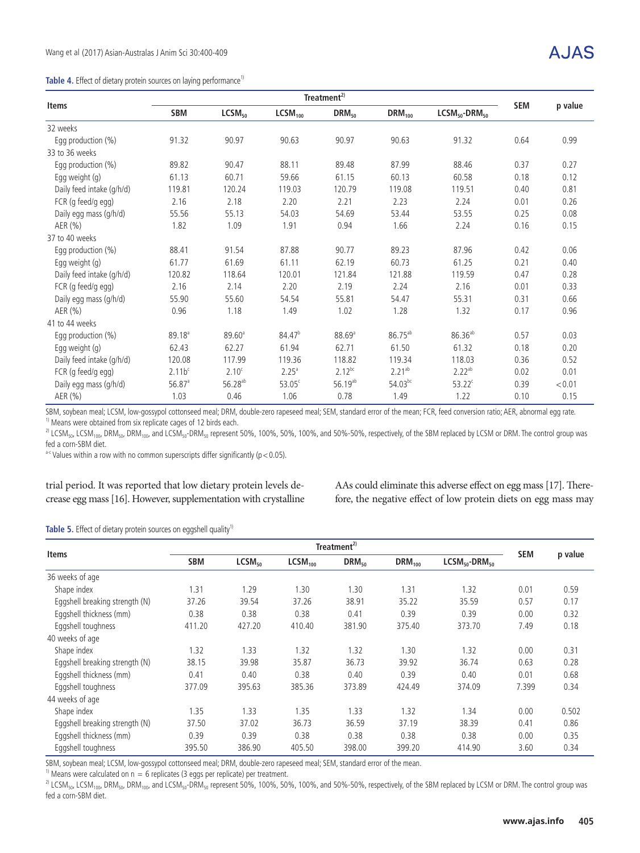#### Table 4. Effect of dietary protein sources on laying performance<sup>1)</sup>

|                           |                    | <b>SEM</b>         |                     |                      |              |                |      |         |
|---------------------------|--------------------|--------------------|---------------------|----------------------|--------------|----------------|------|---------|
| Items                     | <b>SBM</b>         | LCSM <sub>50</sub> | LCSM <sub>100</sub> | $DRM_{50}$           | $DRM_{100}$  | $LCSM50-DRM50$ |      | p value |
| 32 weeks                  |                    |                    |                     |                      |              |                |      |         |
| Egg production (%)        | 91.32              | 90.97              | 90.63               | 90.97                | 90.63        | 91.32          | 0.64 | 0.99    |
| 33 to 36 weeks            |                    |                    |                     |                      |              |                |      |         |
| Egg production (%)        | 89.82              | 90.47              | 88.11               | 89.48                | 87.99        | 88.46          | 0.37 | 0.27    |
| Egg weight (g)            | 61.13              | 60.71              | 59.66               | 61.15                | 60.13        | 60.58          | 0.18 | 0.12    |
| Daily feed intake (g/h/d) | 119.81             | 120.24             | 119.03              | 120.79               | 119.08       | 119.51         | 0.40 | 0.81    |
| FCR (g feed/g egg)        | 2.16               | 2.18               | 2.20                | 2.21                 | 2.23         | 2.24           | 0.01 | 0.26    |
| Daily egg mass (g/h/d)    | 55.56              | 55.13              | 54.03               | 54.69                | 53.44        | 53.55          | 0.25 | 0.08    |
| AER (%)                   | 1.82               | 1.09               | 1.91                | 0.94                 | 1.66         | 2.24           | 0.16 | 0.15    |
| 37 to 40 weeks            |                    |                    |                     |                      |              |                |      |         |
| Egg production (%)        | 88.41              | 91.54              | 87.88               | 90.77                | 89.23        | 87.96          | 0.42 | 0.06    |
| Egg weight (g)            | 61.77              | 61.69              | 61.11               | 62.19                | 60.73        | 61.25          | 0.21 | 0.40    |
| Daily feed intake (q/h/d) | 120.82             | 118.64             | 120.01              | 121.84               | 121.88       | 119.59         | 0.47 | 0.28    |
| FCR (g feed/g egg)        | 2.16               | 2.14               | 2.20                | 2.19                 | 2.24         | 2.16           | 0.01 | 0.33    |
| Daily egg mass (g/h/d)    | 55.90              | 55.60              | 54.54               | 55.81                | 54.47        | 55.31          | 0.31 | 0.66    |
| AER(%)                    | 0.96               | 1.18               | 1.49                | 1.02                 | 1.28         | 1.32           | 0.17 | 0.96    |
| 41 to 44 weeks            |                    |                    |                     |                      |              |                |      |         |
| Egg production (%)        | 89.18 <sup>a</sup> | $89.60^{\circ}$    | 84.47 <sup>b</sup>  | $88.69$ <sup>a</sup> | $86.75^{ab}$ | $86.36^{ab}$   | 0.57 | 0.03    |
| Egg weight (g)            | 62.43              | 62.27              | 61.94               | 62.71                | 61.50        | 61.32          | 0.18 | 0.20    |
| Daily feed intake (g/h/d) | 120.08             | 117.99             | 119.36              | 118.82               | 119.34       | 118.03         | 0.36 | 0.52    |
| FCR (g feed/g egg)        | 2.11b <sup>c</sup> | 2.10 <sup>c</sup>  | 2.25 <sup>a</sup>   | $2.12^{bc}$          | $2.21^{ab}$  | $2.22^{ab}$    | 0.02 | 0.01    |
| Daily egg mass (g/h/d)    | $56.87^{\circ}$    | $56.28^{ab}$       | 53.05 <sup>c</sup>  | $56.19^{ab}$         | $54.03^{bc}$ | $53.22^c$      | 0.39 | < 0.01  |
| AER (%)                   | 1.03               | 0.46               | 1.06                | 0.78                 | 1.49         | 1.22           | 0.10 | 0.15    |

SBM, soybean meal; LCSM, low-gossypol cottonseed meal; DRM, double-zero rapeseed meal; SEM, standard error of the mean; FCR, feed conversion ratio; AER, abnormal egg rate.  $1)$  Means were obtained from six replicate cages of 12 birds each.

 $^{2)}$  LCSM<sub>50</sub>, LCSM<sub>100</sub>, DRM<sub>50</sub>, DRM<sub>100</sub>, and LCSM<sub>50</sub>-DRM<sub>50</sub> represent 50%, 100%, 50%, 100%, and 50%-50%, respectively, of the SBM replaced by LCSM or DRM. The control group was fed a corn-SBM diet.

 $a-c$  Values within a row with no common superscripts differ significantly ( $p < 0.05$ ).

trial period. It was reported that low dietary protein levels decrease egg mass [16]. However, supplementation with crystalline AAs could eliminate this adverse effect on egg mass [17]. Therefore, the negative effect of low protein diets on egg mass may

#### Table 5. Effect of dietary protein sources on eggshell quality<sup>1)</sup>

|                                | Treatment <sup>2)</sup> |                    |                     |                   |             |                    | <b>SEM</b> | p value |
|--------------------------------|-------------------------|--------------------|---------------------|-------------------|-------------|--------------------|------------|---------|
| <b>Items</b>                   | <b>SBM</b>              | LCSM <sub>50</sub> | LCSM <sub>100</sub> | DRM <sub>50</sub> | $DRM_{100}$ | $LCSM50$ -DRM $50$ |            |         |
| 36 weeks of age                |                         |                    |                     |                   |             |                    |            |         |
| Shape index                    | 1.31                    | 1.29               | 1.30                | 1.30              | 1.31        | 1.32               | 0.01       | 0.59    |
| Eggshell breaking strength (N) | 37.26                   | 39.54              | 37.26               | 38.91             | 35.22       | 35.59              | 0.57       | 0.17    |
| Eggshell thickness (mm)        | 0.38                    | 0.38               | 0.38                | 0.41              | 0.39        | 0.39               | 0.00       | 0.32    |
| Eggshell toughness             | 411.20                  | 427.20             | 410.40              | 381.90            | 375.40      | 373.70             | 7.49       | 0.18    |
| 40 weeks of age                |                         |                    |                     |                   |             |                    |            |         |
| Shape index                    | 1.32                    | 1.33               | 1.32                | 1.32              | 1.30        | 1.32               | 0.00       | 0.31    |
| Eggshell breaking strength (N) | 38.15                   | 39.98              | 35.87               | 36.73             | 39.92       | 36.74              | 0.63       | 0.28    |
| Eggshell thickness (mm)        | 0.41                    | 0.40               | 0.38                | 0.40              | 0.39        | 0.40               | 0.01       | 0.68    |
| Eggshell toughness             | 377.09                  | 395.63             | 385.36              | 373.89            | 424.49      | 374.09             | 7.399      | 0.34    |
| 44 weeks of age                |                         |                    |                     |                   |             |                    |            |         |
| Shape index                    | 1.35                    | 1.33               | 1.35                | 1.33              | 1.32        | 1.34               | 0.00       | 0.502   |
| Eggshell breaking strength (N) | 37.50                   | 37.02              | 36.73               | 36.59             | 37.19       | 38.39              | 0.41       | 0.86    |
| Eggshell thickness (mm)        | 0.39                    | 0.39               | 0.38                | 0.38              | 0.38        | 0.38               | 0.00       | 0.35    |
| Eggshell toughness             | 395.50                  | 386.90             | 405.50              | 398.00            | 399.20      | 414.90             | 3.60       | 0.34    |

SBM, soybean meal; LCSM, low-gossypol cottonseed meal; DRM, double-zero rapeseed meal; SEM, standard error of the mean.

<sup>1)</sup> Means were calculated on  $n = 6$  replicates (3 eggs per replicate) per treatment.

<sup>2)</sup> LCSM<sub>50</sub>, LCSM<sub>100</sub>, DRM<sub>50</sub>, DRM<sub>100</sub>, and LCSM<sub>50</sub>-DRM<sub>50</sub> represent 50%, 100%, 50%, 100%, and 50%-50%, respectively, of the SBM replaced by LCSM or DRM. The control group was fed a corn-SBM diet.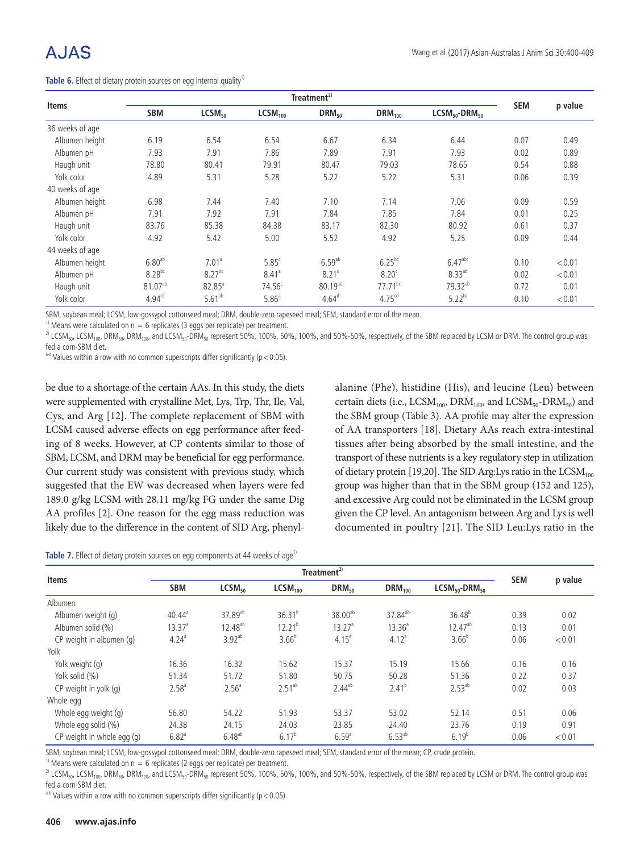|                 |                    |                    |                     | <b>SEM</b>           |                    |                     |      |         |
|-----------------|--------------------|--------------------|---------------------|----------------------|--------------------|---------------------|------|---------|
| <b>Items</b>    | <b>SBM</b>         | LCSM <sub>50</sub> | LCSM <sub>100</sub> | DRM <sub>50</sub>    | $DRM_{100}$        | $LCSM50$ -DRM $50$  |      | p value |
| 36 weeks of age |                    |                    |                     |                      |                    |                     |      |         |
| Albumen height  | 6.19               | 6.54               | 6.54                | 6.67                 | 6.34               | 6.44                | 0.07 | 0.49    |
| Albumen pH      | 7.93               | 7.91               | 7.86                | 7.89                 | 7.91               | 7.93                | 0.02 | 0.89    |
| Haugh unit      | 78.80              | 80.41              | 79.91               | 80.47                | 79.03              | 78.65               | 0.54 | 0.88    |
| Yolk color      | 4.89               | 5.31               | 5.28                | 5.22                 | 5.22               | 5.31                | 0.06 | 0.39    |
| 40 weeks of age |                    |                    |                     |                      |                    |                     |      |         |
| Albumen height  | 6.98               | 7.44               | 7.40                | 7.10                 | 7.14               | 7.06                | 0.09 | 0.59    |
| Albumen pH      | 7.91               | 7.92               | 7.91                | 7.84                 | 7.85               | 7.84                | 0.01 | 0.25    |
| Haugh unit      | 83.76              | 85.38              | 84.38               | 83.17                | 82.30              | 80.92               | 0.61 | 0.37    |
| Yolk color      | 4.92               | 5.42               | 5.00                | 5.52                 | 4.92               | 5.25                | 0.09 | 0.44    |
| 44 weeks of age |                    |                    |                     |                      |                    |                     |      |         |
| Albumen height  | 6.80 <sup>ab</sup> | 7.01 <sup>a</sup>  | 5.85 <sup>c</sup>   | $6.59$ <sup>ab</sup> | $6.25^{bc}$        | 6.47 <sup>abc</sup> | 0.10 | < 0.01  |
| Albumen pH      | $8.28^{bc}$        | $8.27^{bc}$        | 8.41 <sup>a</sup>   | 8.21 <sup>c</sup>    | 8.20 <sup>c</sup>  | $8.33^{ab}$         | 0.02 | < 0.01  |
| Haugh unit      | $81.07^{ab}$       | $82.85^{\circ}$    | $74.56^{\circ}$     | $80.19^{ab}$         | $77.71^{bc}$       | 79.32 <sup>ab</sup> | 0.72 | 0.01    |
| Yolk color      | $4.94^{cd}$        | $5.61^{ab}$        | 5.86 <sup>a</sup>   | $4.64^{\circ}$       | 4.75 <sup>cd</sup> | $5.22^{bc}$         | 0.10 | < 0.01  |

**Table 6.** Effect of dietary protein sources on egg internal quality<sup>1)</sup>

SBM, soybean meal; LCSM, low-gossypol cottonseed meal; DRM, double-zero rapeseed meal; SEM, standard error of the mean.

<sup>1)</sup> Means were calculated on  $n = 6$  replicates (3 eggs per replicate) per treatment.

<sup>2)</sup> LCSM<sub>50</sub>, LCSM<sub>100</sub>, DRM<sub>50</sub>, DRM<sub>100</sub>, and LCSM<sub>50</sub>-DRM<sub>50</sub> represent 50%, 100%, 50%, 100%, and 50%-50%, respectively, of the SBM replaced by LCSM or DRM. The control group was fed a corn-SBM diet.

 $a$ -d Values within a row with no common superscripts differ significantly (p < 0.05).

be due to a shortage of the certain AAs. In this study, the diets were supplemented with crystalline Met, Lys, Trp, Thr, Ile, Val, Cys, and Arg [12]. The complete replacement of SBM with LCSM caused adverse effects on egg performance after feeding of 8 weeks. However, at CP contents similar to those of SBM, LCSM, and DRM may be beneficial for egg performance. Our current study was consistent with previous study, which suggested that the EW was decreased when layers were fed 189.0 g/kg LCSM with 28.11 mg/kg FG under the same Dig AA profiles [2]. One reason for the egg mass reduction was likely due to the difference in the content of SID Arg, phenylalanine (Phe), histidine (His), and leucine (Leu) between certain diets (i.e.,  $\text{LCSM}_{\text{100}}$ ,  $\text{DRM}_{\text{100}}$ , and  $\text{LCSM}_{\text{50}}$ - $\text{DRM}_{\text{50}}$ ) and the SBM group (Table 3). AA profile may alter the expression of AA transporters [18]. Dietary AAs reach extra-intestinal tissues after being absorbed by the small intestine, and the transport of these nutrients is a key regulatory step in utilization of dietary protein [19,20]. The SID Arg:Lys ratio in the  $\text{LCSM}_{100}$ group was higher than that in the SBM group (152 and 125), and excessive Arg could not be eliminated in the LCSM group given the CP level. An antagonism between Arg and Lys is well documented in poultry [21]. The SID Leu:Lys ratio in the

|  |  |  |  |  | Table 7. Effect of dietary protein sources on egg components at 44 weeks of age <sup>1</sup> |  |  |
|--|--|--|--|--|----------------------------------------------------------------------------------------------|--|--|
|--|--|--|--|--|----------------------------------------------------------------------------------------------|--|--|

| <b>Items</b>               | Treatment <sup>2)</sup> |                     |                     |                     |                     |                    | <b>SEM</b> | p value |
|----------------------------|-------------------------|---------------------|---------------------|---------------------|---------------------|--------------------|------------|---------|
|                            | <b>SBM</b>              | LCSM <sub>50</sub>  | LCSM <sub>100</sub> | $DRM_{50}$          | $DRM_{100}$         | $LCSM50$ -DRM $50$ |            |         |
| Albumen                    |                         |                     |                     |                     |                     |                    |            |         |
| Albumen weight (g)         | $40.44^{\circ}$         | 37.89 <sup>ab</sup> | $36.31^{b}$         | 38.00 <sup>ab</sup> | 37.84 <sup>ab</sup> | $36.48^{b}$        | 0.39       | 0.02    |
| Albumen solid (%)          | 13.37 <sup>a</sup>      | $12.48^{ab}$        | $12.21^{b}$         | 13.27 <sup>a</sup>  | 13.36 <sup>a</sup>  | $12.47^{ab}$       | 0.13       | 0.01    |
| CP weight in albumen (g)   | 4.24 <sup>a</sup>       | $3.92^{ab}$         | 3.66 <sup>b</sup>   | $4.15^{a}$          | 4.12 <sup>a</sup>   | $3.66^{b}$         | 0.06       | < 0.01  |
| Yolk                       |                         |                     |                     |                     |                     |                    |            |         |
| Yolk weight (g)            | 16.36                   | 16.32               | 15.62               | 15.37               | 15.19               | 15.66              | 0.16       | 0.16    |
| Yolk solid (%)             | 51.34                   | 51.72               | 51.80               | 50.75               | 50.28               | 51.36              | 0.22       | 0.37    |
| CP weight in yolk (g)      | 2.58 <sup>a</sup>       | 2.56 <sup>a</sup>   | $2.51^{ab}$         | $2.44^{ab}$         | 2.41 <sup>b</sup>   | $2.53^{ab}$        | 0.02       | 0.03    |
| Whole egg                  |                         |                     |                     |                     |                     |                    |            |         |
| Whole egg weight (g)       | 56.80                   | 54.22               | 51.93               | 53.37               | 53.02               | 52.14              | 0.51       | 0.06    |
| Whole egg solid (%)        | 24.38                   | 24.15               | 24.03               | 23.85               | 24.40               | 23.76              | 0.19       | 0.91    |
| CP weight in whole egg (g) | $6.82$ <sup>a</sup>     | $6.48^{ab}$         | $6.17^{b}$          | $6.59^{a}$          | $6.53^{ab}$         | $6.19^{b}$         | 0.06       | < 0.01  |

SBM, soybean meal; LCSM, low-gossypol cottonseed meal; DRM, double-zero rapeseed meal; SEM, standard error of the mean; CP, crude protein.

<sup>1)</sup> Means were calculated on  $n = 6$  replicates (2 eggs per replicate) per treatment.

<sup>2)</sup> LCSM<sub>50</sub>, LCSM<sub>100</sub>, DRM<sub>50</sub>, DRM<sub>100</sub>, and LCSM<sub>50</sub>-DRM<sub>50</sub> represent 50%, 100%, 50%, 100%, and 50%-50%, respectively, of the SBM replaced by LCSM or DRM. The control group was fed a corn-SBM diet.

 $a-b$  Values within a row with no common superscripts differ significantly (p < 0.05).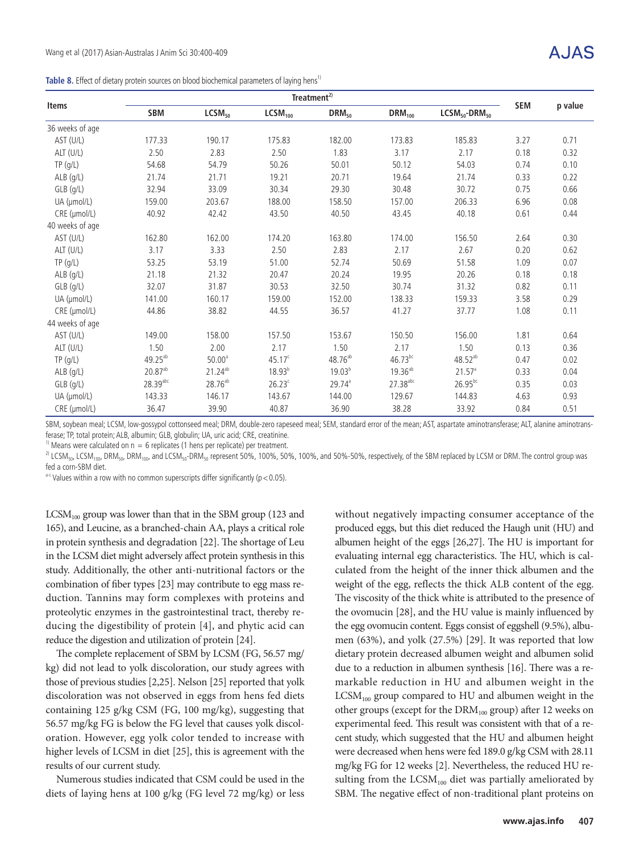| Table 8. Effect of dietary protein sources on blood biochemical parameters of laying hens <sup>1</sup> |  |  |  |  |
|--------------------------------------------------------------------------------------------------------|--|--|--|--|
|--------------------------------------------------------------------------------------------------------|--|--|--|--|

|                 |                     | Treatment <sup>2)</sup> |                     |                     |                        |                    |            |         |  |  |
|-----------------|---------------------|-------------------------|---------------------|---------------------|------------------------|--------------------|------------|---------|--|--|
| Items           | <b>SBM</b>          | LCSM <sub>50</sub>      | LCSM <sub>100</sub> | DRM <sub>50</sub>   | $DRM_{100}$            | $LCSM50$ -DRM $50$ | <b>SEM</b> | p value |  |  |
| 36 weeks of age |                     |                         |                     |                     |                        |                    |            |         |  |  |
| AST (U/L)       | 177.33              | 190.17                  | 175.83              | 182.00              | 173.83                 | 185.83             | 3.27       | 0.71    |  |  |
| ALT (U/L)       | 2.50                | 2.83                    | 2.50                | 1.83                | 3.17                   | 2.17               | 0.18       | 0.32    |  |  |
| TP( g/L)        | 54.68               | 54.79                   | 50.26               | 50.01               | 50.12                  | 54.03              | 0.74       | 0.10    |  |  |
| $ALB$ (g/L)     | 21.74               | 21.71                   | 19.21               | 20.71               | 19.64                  | 21.74              | 0.33       | 0.22    |  |  |
| $GLB$ $(q/L)$   | 32.94               | 33.09                   | 30.34               | 29.30               | 30.48                  | 30.72              | 0.75       | 0.66    |  |  |
| UA (µmol/L)     | 159.00              | 203.67                  | 188.00              | 158.50              | 157.00                 | 206.33             | 6.96       | 0.08    |  |  |
| CRE (µmol/L)    | 40.92               | 42.42                   | 43.50               | 40.50               | 43.45                  | 40.18              | 0.61       | 0.44    |  |  |
| 40 weeks of age |                     |                         |                     |                     |                        |                    |            |         |  |  |
| AST (U/L)       | 162.80              | 162.00                  | 174.20              | 163.80              | 174.00                 | 156.50             | 2.64       | 0.30    |  |  |
| ALT (U/L)       | 3.17                | 3.33                    | 2.50                | 2.83                | 2.17                   | 2.67               | 0.20       | 0.62    |  |  |
| TP( g/L)        | 53.25               | 53.19                   | 51.00               | 52.74               | 50.69                  | 51.58              | 1.09       | 0.07    |  |  |
| $ALB$ (g/L)     | 21.18               | 21.32                   | 20.47               | 20.24               | 19.95                  | 20.26              | 0.18       | 0.18    |  |  |
| $GLB$ $(q/L)$   | 32.07               | 31.87                   | 30.53               | 32.50               | 30.74                  | 31.32              | 0.82       | 0.11    |  |  |
| UA (µmol/L)     | 141.00              | 160.17                  | 159.00              | 152.00              | 138.33                 | 159.33             | 3.58       | 0.29    |  |  |
| CRE (µmol/L)    | 44.86               | 38.82                   | 44.55               | 36.57               | 41.27                  | 37.77              | 1.08       | 0.11    |  |  |
| 44 weeks of age |                     |                         |                     |                     |                        |                    |            |         |  |  |
| AST (U/L)       | 149.00              | 158.00                  | 157.50              | 153.67              | 150.50                 | 156.00             | 1.81       | 0.64    |  |  |
| ALT (U/L)       | 1.50                | 2.00                    | 2.17                | 1.50                | 2.17                   | 1.50               | 0.13       | 0.36    |  |  |
| TP( g/L)        | 49.25 <sup>ab</sup> | $50.00^{\circ}$         | $45.17^c$           | 48.76 <sup>ab</sup> | $46.73^{bc}$           | $48.52^{ab}$       | 0.47       | 0.02    |  |  |
| $ALB$ (g/L)     | $20.87^{ab}$        | $21.24^{ab}$            | $18.93^{b}$         | 19.03 <sup>b</sup>  | 19.36 <sup>ab</sup>    | 21.57 <sup>a</sup> | 0.33       | 0.04    |  |  |
| $GLB$ $(q/L)$   | 28.39abc            | 28.76 <sup>ab</sup>     | $26.23^c$           | $29.74^{\circ}$     | $27.38$ <sup>abc</sup> | $26.95^{bc}$       | 0.35       | 0.03    |  |  |
| UA (µmol/L)     | 143.33              | 146.17                  | 143.67              | 144.00              | 129.67                 | 144.83             | 4.63       | 0.93    |  |  |
| CRE (µmol/L)    | 36.47               | 39.90                   | 40.87               | 36.90               | 38.28                  | 33.92              | 0.84       | 0.51    |  |  |

SBM, soybean meal; LCSM, low-gossypol cottonseed meal; DRM, double-zero rapeseed meal; SEM, standard error of the mean; AST, aspartate aminotransferase; ALT, alanine aminotransferase; TP, total protein; ALB, albumin; GLB, globulin; UA, uric acid; CRE, creatinine.

<sup>1)</sup> Means were calculated on  $n = 6$  replicates (1 hens per replicate) per treatment.

<sup>2)</sup> LCSM<sub>50</sub>, LCSM<sub>100</sub>, DRM<sub>50</sub>, DRM<sub>100</sub>, and LCSM<sub>50</sub>-DRM<sub>50</sub> represent 50%, 100%, 50%, 100%, and 50%-50%, respectively, of the SBM replaced by LCSM or DRM. The control group was fed a corn-SBM diet.

 $a-c$  Values within a row with no common superscripts differ significantly ( $p < 0.05$ ).

 $LCSM<sub>100</sub>$  group was lower than that in the SBM group (123 and 165), and Leucine, as a branched-chain AA, plays a critical role in protein synthesis and degradation [22]. The shortage of Leu in the LCSM diet might adversely affect protein synthesis in this study. Additionally, the other anti-nutritional factors or the combination of fiber types [23] may contribute to egg mass reduction. Tannins may form complexes with proteins and proteolytic enzymes in the gastrointestinal tract, thereby reducing the digestibility of protein [4], and phytic acid can reduce the digestion and utilization of protein [24].

The complete replacement of SBM by LCSM (FG, 56.57 mg/ kg) did not lead to yolk discoloration, our study agrees with those of previous studies [2,25]. Nelson [25] reported that yolk discoloration was not observed in eggs from hens fed diets containing 125 g/kg CSM (FG, 100 mg/kg), suggesting that 56.57 mg/kg FG is below the FG level that causes yolk discoloration. However, egg yolk color tended to increase with higher levels of LCSM in diet [25], this is agreement with the results of our current study.

Numerous studies indicated that CSM could be used in the diets of laying hens at 100 g/kg (FG level 72 mg/kg) or less without negatively impacting consumer acceptance of the produced eggs, but this diet reduced the Haugh unit (HU) and albumen height of the eggs [26,27]. The HU is important for evaluating internal egg characteristics. The HU, which is calculated from the height of the inner thick albumen and the weight of the egg, reflects the thick ALB content of the egg. The viscosity of the thick white is attributed to the presence of the ovomucin [28], and the HU value is mainly influenced by the egg ovomucin content. Eggs consist of eggshell (9.5%), albumen (63%), and yolk (27.5%) [29]. It was reported that low dietary protein decreased albumen weight and albumen solid due to a reduction in albumen synthesis [16]. There was a remarkable reduction in HU and albumen weight in the  $LCSM_{100}$  group compared to HU and albumen weight in the other groups (except for the  $DRM<sub>100</sub>$  group) after 12 weeks on experimental feed. This result was consistent with that of a recent study, which suggested that the HU and albumen height were decreased when hens were fed 189.0 g/kg CSM with 28.11 mg/kg FG for 12 weeks [2]. Nevertheless, the reduced HU resulting from the  $LCSM_{100}$  diet was partially ameliorated by SBM. The negative effect of non-traditional plant proteins on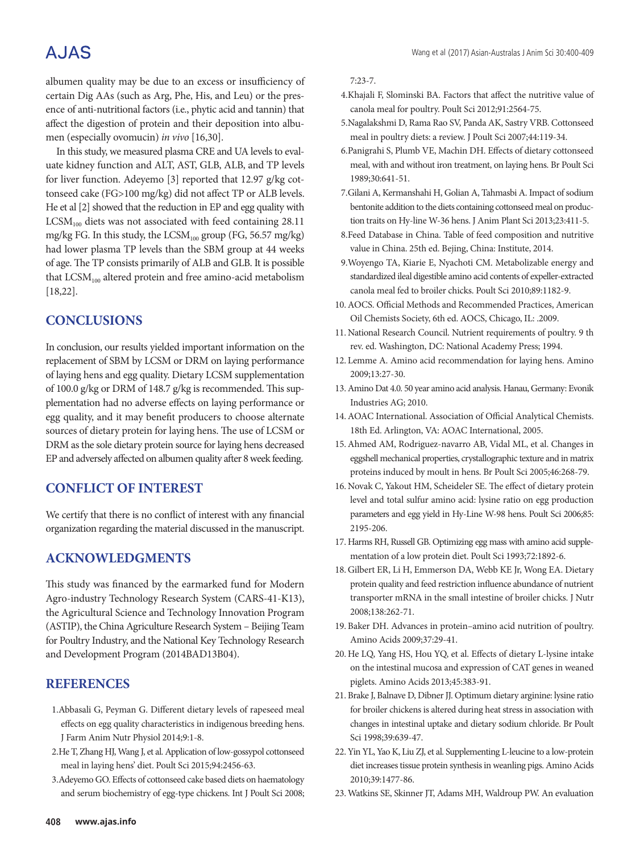# **AJAS**

albumen quality may be due to an excess or insufficiency of certain Dig AAs (such as Arg, Phe, His, and Leu) or the presence of anti-nutritional factors (i.e., phytic acid and tannin) that affect the digestion of protein and their deposition into albumen (especially ovomucin) *in vivo* [16,30].

In this study, we measured plasma CRE and UA levels to evaluate kidney function and ALT, AST, GLB, ALB, and TP levels for liver function. Adeyemo [3] reported that 12.97 g/kg cottonseed cake (FG>100 mg/kg) did not affect TP or ALB levels. He et al [2] showed that the reduction in EP and egg quality with  $LCSM_{100}$  diets was not associated with feed containing 28.11 mg/kg FG. In this study, the  $LCSM_{100}$  group (FG, 56.57 mg/kg) had lower plasma TP levels than the SBM group at 44 weeks of age. The TP consists primarily of ALB and GLB. It is possible that  $LCSM_{100}$  altered protein and free amino-acid metabolism [18,22].

# **CONCLUSIONS**

In conclusion, our results yielded important information on the replacement of SBM by LCSM or DRM on laying performance of laying hens and egg quality. Dietary LCSM supplementation of 100.0 g/kg or DRM of 148.7 g/kg is recommended. This supplementation had no adverse effects on laying performance or egg quality, and it may benefit producers to choose alternate sources of dietary protein for laying hens. The use of LCSM or DRM as the sole dietary protein source for laying hens decreased EP and adversely affected on albumen quality after 8 week feeding.

# **CONFLICT OF INTEREST**

We certify that there is no conflict of interest with any financial organization regarding the material discussed in the manuscript.

## **ACKNOWLEDGMENTS**

This study was financed by the earmarked fund for Modern Agro-industry Technology Research System (CARS-41-K13), the Agricultural Science and Technology Innovation Program (ASTIP), the China Agriculture Research System – Beijing Team for Poultry Industry, and the National Key Technology Research and Development Program (2014BAD13B04).

## **REFERENCES**

- 1.Abbasali G, Peyman G. Different dietary levels of rapeseed meal effects on egg quality characteristics in indigenous breeding hens. J Farm Anim Nutr Physiol 2014;9:1-8.
- 2.He T, Zhang HJ, Wang J, et al. Application of low-gossypol cottonseed meal in laying hens' diet. Poult Sci 2015;94:2456-63.
- 3.Adeyemo GO. Effects of cottonseed cake based diets on haematology and serum biochemistry of egg-type chickens. Int J Poult Sci 2008;

7:23-7.

- 4.Khajali F, Slominski BA. Factors that affect the nutritive value of canola meal for poultry. Poult Sci 2012;91:2564-75.
- 5.Nagalakshmi D, Rama Rao SV, Panda AK, Sastry VRB. Cottonseed meal in poultry diets: a review. J Poult Sci 2007;44:119-34.
- 6.Panigrahi S, Plumb VE, Machin DH. Effects of dietary cottonseed meal, with and without iron treatment, on laying hens. Br Poult Sci 1989;30:641-51.
- 7.Gilani A, Kermanshahi H, Golian A, Tahmasbi A. Impact of sodium bentonite addition to the diets containing cottonseed meal on production traits on Hy-line W-36 hens. J Anim Plant Sci 2013;23:411-5.
- 8.Feed Database in China. Table of feed composition and nutritive value in China. 25th ed. Bejing, China: Institute, 2014.
- 9.Woyengo TA, Kiarie E, Nyachoti CM. Metabolizable energy and standardized ileal digestible amino acid contents of expeller-extracted canola meal fed to broiler chicks. Poult Sci 2010;89:1182-9.
- 10.AOCS. Official Methods and Recommended Practices, American Oil Chemists Society, 6th ed. AOCS, Chicago, IL: .2009.
- 11. National Research Council. Nutrient requirements of poultry. 9 th rev. ed. Washington, DC: National Academy Press; 1994.
- 12. Lemme A. Amino acid recommendation for laying hens. Amino 2009;13:27-30.
- 13.Amino Dat 4.0. 50 year amino acid analysis. Hanau, Germany: Evonik Industries AG; 2010.
- 14.AOAC International. Association of Official Analytical Chemists. 18th Ed. Arlington, VA: AOAC International, 2005.
- 15.Ahmed AM, Rodriguez-navarro AB, Vidal ML, et al. Changes in eggshell mechanical properties, crystallographic texture and in matrix proteins induced by moult in hens. Br Poult Sci 2005;46:268-79.
- 16. Novak C, Yakout HM, Scheideler SE. The effect of dietary protein level and total sulfur amino acid: lysine ratio on egg production parameters and egg yield in Hy-Line W-98 hens. Poult Sci 2006;85: 2195-206.
- 17. Harms RH, Russell GB. Optimizing egg mass with amino acid supplementation of a low protein diet. Poult Sci 1993;72:1892-6.
- 18. Gilbert ER, Li H, Emmerson DA, Webb KE Jr, Wong EA. Dietary protein quality and feed restriction influence abundance of nutrient transporter mRNA in the small intestine of broiler chicks. J Nutr 2008;138:262-71.
- 19. Baker DH. Advances in protein–amino acid nutrition of poultry. Amino Acids 2009;37:29-41.
- 20. He LQ, Yang HS, Hou YQ, et al. Effects of dietary L-lysine intake on the intestinal mucosa and expression of CAT genes in weaned piglets. Amino Acids 2013;45:383-91.
- 21. Brake J, Balnave D, Dibner JJ. Optimum dietary arginine: lysine ratio for broiler chickens is altered during heat stress in association with changes in intestinal uptake and dietary sodium chloride. Br Poult Sci 1998;39:639-47.
- 22. Yin YL, Yao K, Liu ZJ, et al. Supplementing L-leucine to a low-protein diet increases tissue protein synthesis in weanling pigs. Amino Acids 2010;39:1477-86.
- 23. Watkins SE, Skinner JT, Adams MH, Waldroup PW. An evaluation